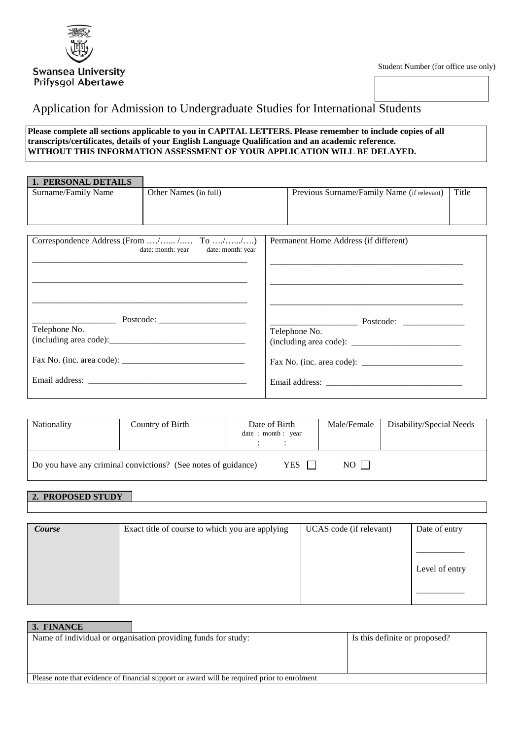

l

# Application for Admission to Undergraduate Studies for International Students

### **Please complete all sections applicable to you in CAPITAL LETTERS. Please remember to include copies of all transcripts/certificates, details of your English Language Qualification and an academic reference. WITHOUT THIS INFORMATION ASSESSMENT OF YOUR APPLICATION WILL BE DELAYED.**

| Other Names (in full)                   | Title<br>Previous Surname/Family Name (if relevant) |               |  |
|-----------------------------------------|-----------------------------------------------------|---------------|--|
|                                         |                                                     |               |  |
|                                         |                                                     |               |  |
|                                         |                                                     |               |  |
| Correspondence Address (From / / To //) | Permanent Home Address (if different)               |               |  |
|                                         |                                                     |               |  |
|                                         |                                                     |               |  |
|                                         |                                                     |               |  |
|                                         |                                                     |               |  |
|                                         |                                                     |               |  |
|                                         |                                                     |               |  |
|                                         |                                                     |               |  |
|                                         |                                                     |               |  |
|                                         |                                                     |               |  |
|                                         |                                                     |               |  |
|                                         |                                                     |               |  |
|                                         |                                                     |               |  |
|                                         | date: month: year<br>date: month: year              | Telephone No. |  |

| Nationality | Country of Birth                                              | Date of Birth<br>date: month: year |  | Male/Female | Disability/Special Needs |
|-------------|---------------------------------------------------------------|------------------------------------|--|-------------|--------------------------|
|             | Do you have any criminal convictions? (See notes of guidance) | $NO$                               |  |             |                          |

### **2. PROPOSED STUDY**

| Course | Exact title of course to which you are applying | UCAS code (if relevant) | Date of entry  |
|--------|-------------------------------------------------|-------------------------|----------------|
|        |                                                 |                         |                |
|        |                                                 |                         |                |
|        |                                                 |                         |                |
|        |                                                 |                         | Level of entry |
|        |                                                 |                         |                |
|        |                                                 |                         |                |
|        |                                                 |                         |                |

| 3. FINANCE                                                                                  |                               |
|---------------------------------------------------------------------------------------------|-------------------------------|
| Name of individual or organisation providing funds for study:                               | Is this definite or proposed? |
|                                                                                             |                               |
|                                                                                             |                               |
|                                                                                             |                               |
| Please note that evidence of financial support or award will be required prior to enrolment |                               |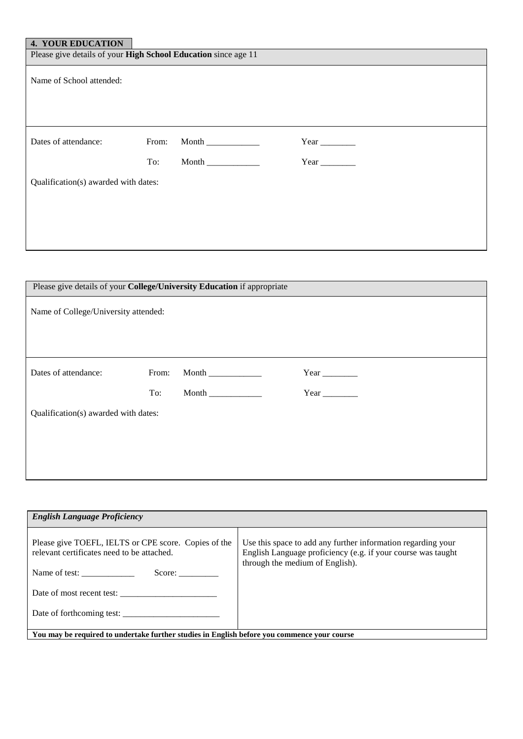## **4. YOUR EDUCATION**

| 4. I UUK EDUCATIUN                                             |       |       |                                 |
|----------------------------------------------------------------|-------|-------|---------------------------------|
| Please give details of your High School Education since age 11 |       |       |                                 |
| Name of School attended:                                       |       |       |                                 |
| Dates of attendance:                                           | From: | Month | Year $\_\_\_\_\_\_\_\_\_\_\_\_$ |
|                                                                | To:   | Month | Year $\_\_\_\_\_\_\_\_\_\_\_\_$ |
| Qualification(s) awarded with dates:                           |       |       |                                 |
|                                                                |       |       |                                 |
|                                                                |       |       |                                 |
|                                                                |       |       |                                 |

| Please give details of your College/University Education if appropriate |       |       |                                   |
|-------------------------------------------------------------------------|-------|-------|-----------------------------------|
| Name of College/University attended:                                    |       |       |                                   |
|                                                                         |       |       |                                   |
| Dates of attendance:                                                    | From: | Month | Year $\_\_\_\_\_\_\_\_\_\_\_\_\_$ |
|                                                                         | To:   | Month | Year $\_\_\_\_\_\_\_\_\_\_\_\_$   |
| Qualification(s) awarded with dates:                                    |       |       |                                   |
|                                                                         |       |       |                                   |
|                                                                         |       |       |                                   |
|                                                                         |       |       |                                   |
|                                                                         |       |       |                                   |

| <b>English Language Proficiency</b>                                                                                           |                                                                                                                                                                 |  |  |  |
|-------------------------------------------------------------------------------------------------------------------------------|-----------------------------------------------------------------------------------------------------------------------------------------------------------------|--|--|--|
| Please give TOEFL, IELTS or CPE score. Copies of the<br>relevant certificates need to be attached.<br>Name of test:<br>Score: | Use this space to add any further information regarding your<br>English Language proficiency (e.g. if your course was taught<br>through the medium of English). |  |  |  |
| Date of most recent test:                                                                                                     |                                                                                                                                                                 |  |  |  |
| Date of forthcoming test:                                                                                                     |                                                                                                                                                                 |  |  |  |
| You may be required to undertake further studies in English before you commence your course                                   |                                                                                                                                                                 |  |  |  |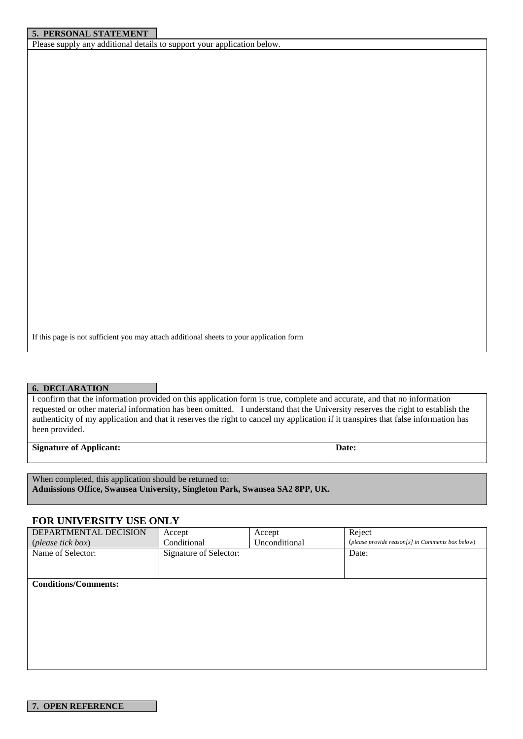### **5. PERSONAL STATEMENT**

Please supply any additional details to support your application below.

If this page is not sufficient you may attach additional sheets to your application form

#### **6. DECLARATION**

I confirm that the information provided on this application form is true, complete and accurate, and that no information requested or other material information has been omitted. I understand that the University reserves the right to establish the authenticity of my application and that it reserves the right to cancel my application if it transpires that false information has been provided.

| <b>Signature of Applicant:</b> | Date: |
|--------------------------------|-------|
|                                |       |

When completed, this application should be returned to: **Admissions Office, Swansea University, Singleton Park, Swansea SA2 8PP, UK.**

### **FOR UNIVERSITY USE ONLY**

| DEPARTMENTAL DECISION       | Accept                 | Accept        | Reject                                           |
|-----------------------------|------------------------|---------------|--------------------------------------------------|
| ( <i>please tick box</i> )  | Conditional            | Unconditional | (please provide reason[s] in Comments box below) |
| Name of Selector:           | Signature of Selector: |               | Date:                                            |
|                             |                        |               |                                                  |
|                             |                        |               |                                                  |
| <b>Conditions/Comments:</b> |                        |               |                                                  |
|                             |                        |               |                                                  |
|                             |                        |               |                                                  |